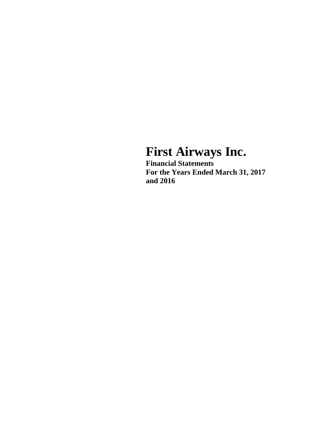# **First Airways Inc.**

**Financial Statements For the Years Ended March 31, 2017 and 2016**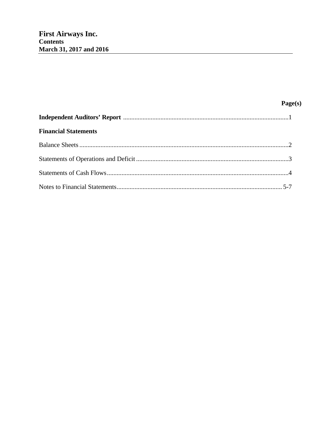| <b>Financial Statements</b> |  |
|-----------------------------|--|
|                             |  |
|                             |  |
|                             |  |
|                             |  |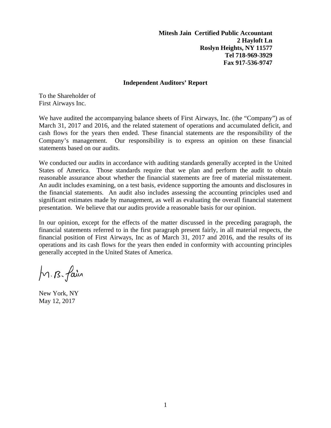**Mitesh Jain Certified Public Accountant 2 Hayloft Ln Roslyn Heights, NY 11577 Tel 718-969-3929 Fax 917-536-9747** 

#### **Independent Auditors' Report**

To the Shareholder of First Airways Inc.

We have audited the accompanying balance sheets of First Airways, Inc. (the "Company") as of March 31, 2017 and 2016, and the related statement of operations and accumulated deficit, and cash flows for the years then ended. These financial statements are the responsibility of the Company's management. Our responsibility is to express an opinion on these financial statements based on our audits.

We conducted our audits in accordance with auditing standards generally accepted in the United States of America. Those standards require that we plan and perform the audit to obtain reasonable assurance about whether the financial statements are free of material misstatement. An audit includes examining, on a test basis, evidence supporting the amounts and disclosures in the financial statements. An audit also includes assessing the accounting principles used and significant estimates made by management, as well as evaluating the overall financial statement presentation. We believe that our audits provide a reasonable basis for our opinion.

In our opinion, except for the effects of the matter discussed in the preceding paragraph, the financial statements referred to in the first paragraph present fairly, in all material respects, the financial position of First Airways, Inc as of March 31, 2017 and 2016, and the results of its operations and its cash flows for the years then ended in conformity with accounting principles generally accepted in the United States of America.

M.B. fain

New York, NY May 12, 2017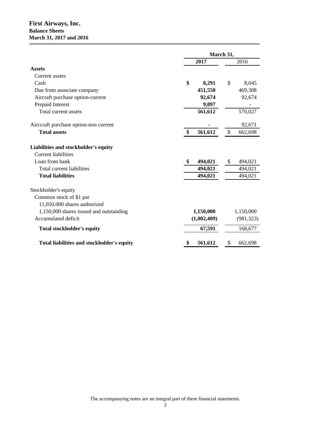## **First Airways, Inc. Balance Sheets March 31, 2017 and 2016**

|                                                                                                                   | March 31,                            |                          |  |
|-------------------------------------------------------------------------------------------------------------------|--------------------------------------|--------------------------|--|
|                                                                                                                   | 2017                                 | 2016                     |  |
| <b>Assets</b>                                                                                                     |                                      |                          |  |
| Current assets                                                                                                    |                                      |                          |  |
| Cash                                                                                                              | \$<br>8,291                          | \$<br>8,045              |  |
| Due from associate company                                                                                        | 451,550                              | 469,308                  |  |
| Aircraft purchase option-current                                                                                  | 92,674                               | 92,674                   |  |
| Prepaid Interest                                                                                                  | 9,097                                |                          |  |
| Total current assets                                                                                              | 561,612                              | 570,027                  |  |
| Airccraft purchase option-non current                                                                             |                                      | 92,671                   |  |
| <b>Total assets</b>                                                                                               | $\boldsymbol{\mathsf{S}}$<br>561,612 | \$<br>662,698            |  |
| Liabilities and stockholder's equity<br><b>Current liabilities</b><br>Loan from bank<br>Total current liabilities | 494,021<br>-\$<br>494,021            | \$<br>494,021<br>494,021 |  |
| <b>Total liabilities</b>                                                                                          | 494,021                              | 494,021                  |  |
| Stockholder's equity                                                                                              |                                      |                          |  |
| Common stock of \$1 par                                                                                           |                                      |                          |  |
| 11,050,000 shares authorized                                                                                      |                                      |                          |  |
| 1,150,000 shares issued and outstanding                                                                           | 1,150,000                            | 1,150,000                |  |
| Accumulated deficit                                                                                               | (1,082,409)                          | (981, 323)               |  |
| <b>Total stockholder's equity</b>                                                                                 | 67,591                               | 168,677                  |  |
| Total liabilities and stockholder's equity                                                                        | 561,612<br>5                         | 662,698<br>\$            |  |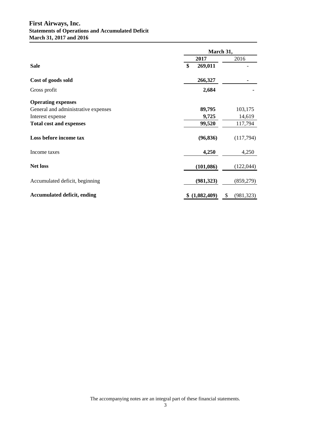## **First Airways, Inc. Statements of Operations and Accumulated Deficit March 31, 2017 and 2016**

|                                     | March 31,        |                  |  |
|-------------------------------------|------------------|------------------|--|
|                                     | 2017             | 2016             |  |
| <b>Sale</b>                         | \$<br>269,011    |                  |  |
| Cost of goods sold                  | 266,327          |                  |  |
| Gross profit                        | 2,684            |                  |  |
| <b>Operating expenses</b>           |                  |                  |  |
| General and administrative expenses | 89,795           | 103,175          |  |
| Interest expense                    | 9,725            | 14,619           |  |
| <b>Total cost and expenses</b>      | 99,520           | 117,794          |  |
| Loss before income tax              | (96, 836)        | (117,794)        |  |
| Income taxes                        | 4,250            | 4,250            |  |
| <b>Net loss</b>                     | (101, 086)       | (122, 044)       |  |
| Accumulated deficit, beginning      | (981, 323)       | (859, 279)       |  |
| <b>Accumulated deficit, ending</b>  | (1,082,409)<br>S | \$<br>(981, 323) |  |

The accompanying notes are an integral part of these financial statements.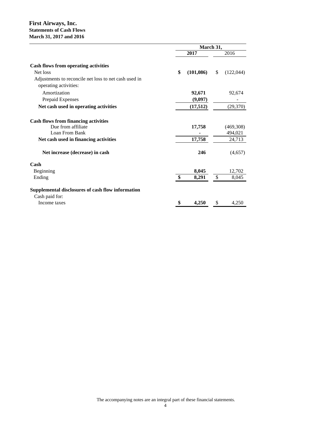#### **First Airways, Inc. Statements of Cash Flows March 31, 2017 and 2016**

|                                                                                | March 31, |            |              |           |
|--------------------------------------------------------------------------------|-----------|------------|--------------|-----------|
|                                                                                |           | 2017       |              | 2016      |
| <b>Cash flows from operating activities</b>                                    |           |            |              |           |
| Net loss                                                                       | \$        | (101, 086) | \$           | (122,044) |
| Adjustments to reconcile net loss to net cash used in<br>operating activities: |           |            |              |           |
| Amortization                                                                   |           | 92,671     |              | 92,674    |
| Prepaid Expenses                                                               |           | (9,097)    |              |           |
| Net cash used in operating activities                                          |           | (17,512)   |              | (29,370)  |
| <b>Cash flows from financing activities</b>                                    |           |            |              |           |
| Due from affiliate                                                             |           | 17,758     |              | (469,308) |
| Loan From Bank                                                                 |           |            |              | 494,021   |
| Net cash used in financing activities                                          |           | 17,758     |              | 24,713    |
| Net increase (decrease) in cash                                                |           | 246        |              | (4,657)   |
| Cash                                                                           |           |            |              |           |
| Beginning                                                                      |           | 8,045      |              | 12,702    |
| Ending                                                                         | \$        | 8,291      | $\mathbb{S}$ | 8,045     |
| Supplemental disclosures of cash flow information                              |           |            |              |           |
| Cash paid for:                                                                 |           |            |              |           |
| Income taxes                                                                   | \$        | 4,250      | \$           | 4,250     |
|                                                                                |           |            |              |           |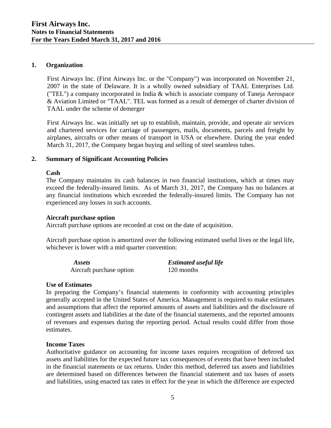# **1. Organization**

First Airways Inc. (First Airways Inc. or the "Company") was incorporated on November 21, 2007 in the state of Delaware. It is a wholly owned subsidiary of TAAL Enterprises Ltd. ("TEL") a company incorporated in India & which is associate company of Taneja Aerospace & Aviation Limited or "TAAL". TEL was formed as a result of demerger of charter division of TAAL under the scheme of demerger

First Airways Inc. was initially set up to establish, maintain, provide, and operate air services and chartered services for carriage of passengers, mails, documents, parcels and freight by airplanes, aircrafts or other means of transport in USA or elsewhere. During the year ended March 31, 2017, the Company began buying and selling of steel seamless tubes.

# **2. Summary of Significant Accounting Policies**

### **Cash**

The Company maintains its cash balances in two financial institutions, which at times may exceed the federally-insured limits. As of March 31, 2017, the Company has no balances at any financial institutions which exceeded the federally-insured limits. The Company has not experienced any losses in such accounts.

# **Aircraft purchase option**

Aircraft purchase options are recorded at cost on the date of acquisition.

Aircraft purchase option is amortized over the following estimated useful lives or the legal life, whichever is lower with a mid quarter convention:

| <i>Assets</i>            | <b>Estimated useful life</b> |
|--------------------------|------------------------------|
| Aircraft purchase option | 120 months                   |

### **Use of Estimates**

In preparing the Company's financial statements in conformity with accounting principles generally accepted in the United States of America. Management is required to make estimates and assumptions that affect the reported amounts of assets and liabilities and the disclosure of contingent assets and liabilities at the date of the financial statements, and the reported amounts of revenues and expenses during the reporting period. Actual results could differ from those estimates.

### **Income Taxes**

Authoritative guidance on accounting for income taxes requires recognition of deferred tax assets and liabilities for the expected future tax consequences of events that have been included in the financial statements or tax returns. Under this method, deferred tax assets and liabilities are determined based on differences between the financial statement and tax bases of assets and liabilities, using enacted tax rates in effect for the year in which the difference are expected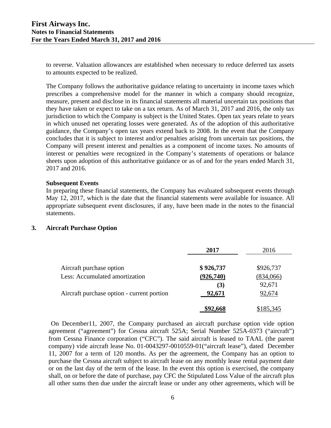to reverse. Valuation allowances are established when necessary to reduce deferred tax assets to amounts expected to be realized.

The Company follows the authoritative guidance relating to uncertainty in income taxes which prescribes a comprehensive model for the manner in which a company should recognize, measure, present and disclose in its financial statements all material uncertain tax positions that they have taken or expect to take on a tax return. As of March 31, 2017 and 2016, the only tax jurisdiction to which the Company is subject is the United States. Open tax years relate to years in which unused net operating losses were generated. As of the adoption of this authoritative guidance, the Company's open tax years extend back to 2008. In the event that the Company concludes that it is subject to interest and/or penalties arising from uncertain tax positions, the Company will present interest and penalties as a component of income taxes. No amounts of interest or penalties were recognized in the Company's statements of operations or balance sheets upon adoption of this authoritative guidance or as of and for the years ended March 31, 2017 and 2016.

#### **Subsequent Events**

In preparing these financial statements, the Company has evaluated subsequent events through May 12, 2017, which is the date that the financial statements were available for issuance. All appropriate subsequent event disclosures, if any, have been made in the notes to the financial statements.

### **3. Aircraft Purchase Option**

|                                            | 2017      | 2016      |
|--------------------------------------------|-----------|-----------|
| Aircraft purchase option                   | \$926,737 | \$926,737 |
| Less: Accumulated amortization             | (926,740) | (834,066) |
|                                            | (3)       | 92,671    |
| Aircraft purchase option - current portion | 92,671    | 92,674    |
|                                            | \$92,668  | \$185,345 |

On December11, 2007, the Company purchased an aircraft purchase option vide option agreement ("agreement") for Cessna aircraft 525A; Serial Number 525A-0373 ("aircraft") from Cessna Finance corporation ("CFC"). The said aircraft is leased to TAAL (the parent company) vide aircraft lease No. 01-0043297-0010559-01("aircraft lease"), dated December 11, 2007 for a term of 120 months. As per the agreement, the Company has an option to purchase the Cessna aircraft subject to aircraft lease on any monthly lease rental payment date or on the last day of the term of the lease. In the event this option is exercised, the company shall, on or before the date of purchase, pay CFC the Stipulated Loss Value of the aircraft plus all other sums then due under the aircraft lease or under any other agreements, which will be